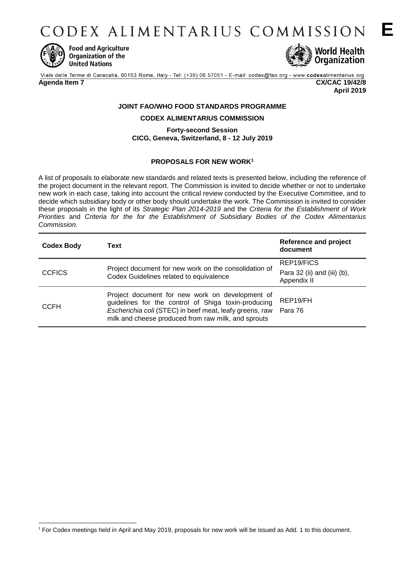CODEX ALIMENTARIUS COMMISSION



-

**Food and Agriculture** Organization of the **United Nations** 



**April 2019**

Viale delle Terme di Caracalla, 00153 Rome, Italy - Tel: (+39) 06 57051 - E-mail: codex@fao.org - www.codexalimentarius.org

**Agenda Item 7 CX/CAC 19/42/8**

**JOINT FAO/WHO FOOD STANDARDS PROGRAMME**

**CODEX ALIMENTARIUS COMMISSION**

**Forty-second Session CICG, Geneva, Switzerland, 8 - 12 July 2019**

# **PROPOSALS FOR NEW WORK<sup>1</sup>**

A list of proposals to elaborate new standards and related texts is presented below, including the reference of the project document in the relevant report. The Commission is invited to decide whether or not to undertake new work in each case, taking into account the critical review conducted by the Executive Committee, and to decide which subsidiary body or other body should undertake the work. The Commission is invited to consider these proposals in the light of its *Strategic Plan 2014-2019* and the *Criteria for the Establishment of Work Priorities* and *Criteria for the for the Establishment of Subsidiary Bodies of the Codex Alimentarius Commission.*

| <b>Codex Body</b> | Text                                                                                                                                                                                                                     | <b>Reference and project</b><br>document                 |
|-------------------|--------------------------------------------------------------------------------------------------------------------------------------------------------------------------------------------------------------------------|----------------------------------------------------------|
| <b>CCFICS</b>     | Project document for new work on the consolidation of<br>Codex Guidelines related to equivalence                                                                                                                         | REP19/FICS<br>Para 32 (ii) and (iii) (b),<br>Appendix II |
| <b>CCFH</b>       | Project document for new work on development of<br>guidelines for the control of Shiga toxin-producing<br>Escherichia coli (STEC) in beef meat, leafy greens, raw<br>milk and cheese produced from raw milk, and sprouts | REP19/FH<br>Para 76                                      |

<sup>1</sup> For Codex meetings held in April and May 2019, proposals for new work will be issued as Add. 1 to this document.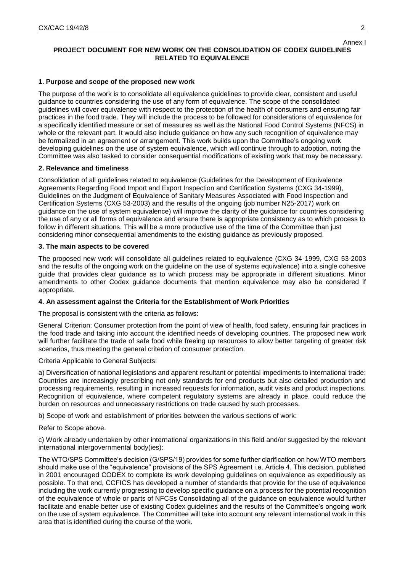# **PROJECT DOCUMENT FOR NEW WORK ON THE CONSOLIDATION OF CODEX GUIDELINES RELATED TO EQUIVALENCE**

# **1. Purpose and scope of the proposed new work**

The purpose of the work is to consolidate all equivalence guidelines to provide clear, consistent and useful guidance to countries considering the use of any form of equivalence. The scope of the consolidated guidelines will cover equivalence with respect to the protection of the health of consumers and ensuring fair practices in the food trade. They will include the process to be followed for considerations of equivalence for a specifically identified measure or set of measures as well as the National Food Control Systems (NFCS) in whole or the relevant part. It would also include guidance on how any such recognition of equivalence may be formalized in an agreement or arrangement. This work builds upon the Committee's ongoing work developing guidelines on the use of system equivalence, which will continue through to adoption, noting the Committee was also tasked to consider consequential modifications of existing work that may be necessary.

## **2. Relevance and timeliness**

Consolidation of all guidelines related to equivalence (Guidelines for the Development of Equivalence Agreements Regarding Food Import and Export Inspection and Certification Systems (CXG 34-1999), Guidelines on the Judgment of Equivalence of Sanitary Measures Associated with Food Inspection and Certification Systems (CXG 53-2003) and the results of the ongoing (job number N25-2017) work on guidance on the use of system equivalence) will improve the clarity of the guidance for countries considering the use of any or all forms of equivalence and ensure there is appropriate consistency as to which process to follow in different situations. This will be a more productive use of the time of the Committee than just considering minor consequential amendments to the existing guidance as previously proposed.

## **3. The main aspects to be covered**

The proposed new work will consolidate all guidelines related to equivalence (CXG 34-1999, CXG 53-2003 and the results of the ongoing work on the guideline on the use of systems equivalence) into a single cohesive guide that provides clear guidance as to which process may be appropriate in different situations. Minor amendments to other Codex guidance documents that mention equivalence may also be considered if appropriate.

## **4. An assessment against the Criteria for the Establishment of Work Priorities**

The proposal is consistent with the criteria as follows:

General Criterion: Consumer protection from the point of view of health, food safety, ensuring fair practices in the food trade and taking into account the identified needs of developing countries. The proposed new work will further facilitate the trade of safe food while freeing up resources to allow better targeting of greater risk scenarios, thus meeting the general criterion of consumer protection.

## Criteria Applicable to General Subjects:

a) Diversification of national legislations and apparent resultant or potential impediments to international trade: Countries are increasingly prescribing not only standards for end products but also detailed production and processing requirements, resulting in increased requests for information, audit visits and product inspections. Recognition of equivalence, where competent regulatory systems are already in place, could reduce the burden on resources and unnecessary restrictions on trade caused by such processes.

b) Scope of work and establishment of priorities between the various sections of work:

## Refer to Scope above.

c) Work already undertaken by other international organizations in this field and/or suggested by the relevant international intergovernmental body(ies):

The WTO/SPS Committee's decision (G/SPS/19) provides for some further clarification on how WTO members should make use of the "equivalence" provisions of the SPS Agreement i.e. Article 4. This decision, published in 2001 encouraged CODEX to complete its work developing guidelines on equivalence as expeditiously as possible. To that end, CCFICS has developed a number of standards that provide for the use of equivalence including the work currently progressing to develop specific guidance on a process for the potential recognition of the equivalence of whole or parts of NFCSs Consolidating all of the guidance on equivalence would further facilitate and enable better use of existing Codex guidelines and the results of the Committee's ongoing work on the use of system equivalence. The Committee will take into account any relevant international work in this area that is identified during the course of the work.

Annex I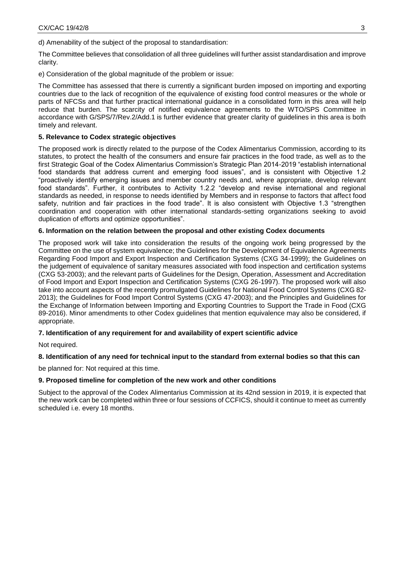d) Amenability of the subject of the proposal to standardisation:

The Committee believes that consolidation of all three guidelines will further assist standardisation and improve clarity.

e) Consideration of the global magnitude of the problem or issue:

The Committee has assessed that there is currently a significant burden imposed on importing and exporting countries due to the lack of recognition of the equivalence of existing food control measures or the whole or parts of NFCSs and that further practical international guidance in a consolidated form in this area will help reduce that burden. The scarcity of notified equivalence agreements to the WTO/SPS Committee in accordance with G/SPS/7/Rev.2/Add.1 is further evidence that greater clarity of guidelines in this area is both timely and relevant.

## **5. Relevance to Codex strategic objectives**

The proposed work is directly related to the purpose of the Codex Alimentarius Commission, according to its statutes, to protect the health of the consumers and ensure fair practices in the food trade, as well as to the first Strategic Goal of the Codex Alimentarius Commission's Strategic Plan 2014-2019 "establish international food standards that address current and emerging food issues", and is consistent with Objective 1.2 "proactively identify emerging issues and member country needs and, where appropriate, develop relevant food standards". Further, it contributes to Activity 1.2.2 "develop and revise international and regional standards as needed, in response to needs identified by Members and in response to factors that affect food safety, nutrition and fair practices in the food trade". It is also consistent with Objective 1.3 "strengthen coordination and cooperation with other international standards-setting organizations seeking to avoid duplication of efforts and optimize opportunities".

### **6. Information on the relation between the proposal and other existing Codex documents**

The proposed work will take into consideration the results of the ongoing work being progressed by the Committee on the use of system equivalence; the Guidelines for the Development of Equivalence Agreements Regarding Food Import and Export Inspection and Certification Systems (CXG 34-1999); the Guidelines on the judgement of equivalence of sanitary measures associated with food inspection and certification systems (CXG 53-2003); and the relevant parts of Guidelines for the Design, Operation, Assessment and Accreditation of Food Import and Export Inspection and Certification Systems (CXG 26-1997). The proposed work will also take into account aspects of the recently promulgated Guidelines for National Food Control Systems (CXG 82- 2013); the Guidelines for Food Import Control Systems (CXG 47-2003); and the Principles and Guidelines for the Exchange of Information between Importing and Exporting Countries to Support the Trade in Food (CXG 89-2016). Minor amendments to other Codex guidelines that mention equivalence may also be considered, if appropriate.

## **7. Identification of any requirement for and availability of expert scientific advice**

Not required.

# **8. Identification of any need for technical input to the standard from external bodies so that this can**

be planned for: Not required at this time.

#### **9. Proposed timeline for completion of the new work and other conditions**

Subject to the approval of the Codex Alimentarius Commission at its 42nd session in 2019, it is expected that the new work can be completed within three or four sessions of CCFICS, should it continue to meet as currently scheduled i.e. every 18 months.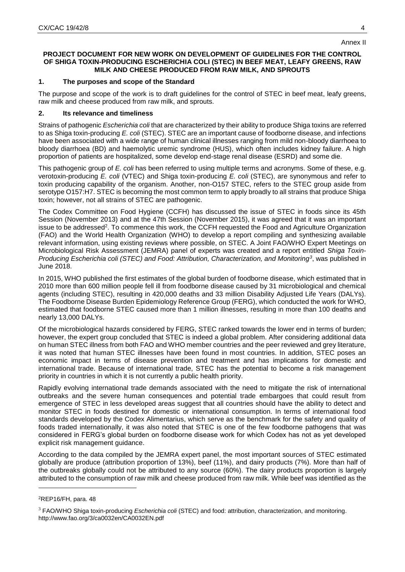# **PROJECT DOCUMENT FOR NEW WORK ON DEVELOPMENT OF GUIDELINES FOR THE CONTROL OF SHIGA TOXIN-PRODUCING ESCHERICHIA COLI (STEC) IN BEEF MEAT, LEAFY GREENS, RAW MILK AND CHEESE PRODUCED FROM RAW MILK, AND SPROUTS**

## **1. The purposes and scope of the Standard**

The purpose and scope of the work is to draft guidelines for the control of STEC in beef meat, leafy greens, raw milk and cheese produced from raw milk, and sprouts.

## **2. Its relevance and timeliness**

Strains of pathogenic *Escherichia coli* that are characterized by their ability to produce Shiga toxins are referred to as Shiga toxin-producing *E. coli* (STEC). STEC are an important cause of foodborne disease, and infections have been associated with a wide range of human clinical illnesses ranging from mild non-bloody diarrhoea to bloody diarrhoea (BD) and haemolytic uremic syndrome (HUS), which often includes kidney failure. A high proportion of patients are hospitalized, some develop end-stage renal disease (ESRD) and some die.

This pathogenic group of *E. coli* has been referred to using multiple terms and acronyms. Some of these, e.g. verotoxin-producing *E. coli* (VTEC) and Shiga toxin-producing *E. coli* (STEC), are synonymous and refer to toxin producing capability of the organism. Another, non-O157 STEC, refers to the STEC group aside from serotype O157:H7. STEC is becoming the most common term to apply broadly to all strains that produce Shiga toxin; however, not all strains of STEC are pathogenic.

The Codex Committee on Food Hygiene (CCFH) has discussed the issue of STEC in foods since its 45th Session (November 2013) and at the 47th Session (November 2015), it was agreed that it was an important issue to be addressed<sup>2</sup>. To commence this work, the CCFH requested the Food and Agriculture Organization (FAO) and the World Health Organization (WHO) to develop a report compiling and synthesizing available relevant information, using existing reviews where possible, on STEC. A Joint FAO/WHO Expert Meetings on Microbiological Risk Assessment (JEMRA) panel of experts was created and a report entitled *Shiga Toxin-Producing Escherichia coli (STEC) and Food: Attribution, Characterization, and Monitoring<sup>3</sup>* , was published in June 2018.

In 2015, WHO published the first estimates of the global burden of foodborne disease, which estimated that in 2010 more than 600 million people fell ill from foodborne disease caused by 31 microbiological and chemical agents (including STEC), resulting in 420,000 deaths and 33 million Disability Adjusted Life Years (DALYs). The Foodborne Disease Burden Epidemiology Reference Group (FERG), which conducted the work for WHO, estimated that foodborne STEC caused more than 1 million illnesses, resulting in more than 100 deaths and nearly 13,000 DALYs.

Of the microbiological hazards considered by FERG, STEC ranked towards the lower end in terms of burden; however, the expert group concluded that STEC is indeed a global problem. After considering additional data on human STEC illness from both FAO and WHO member countries and the peer reviewed and grey literature, it was noted that human STEC illnesses have been found in most countries. In addition, STEC poses an economic impact in terms of disease prevention and treatment and has implications for domestic and international trade. Because of international trade, STEC has the potential to become a risk management priority in countries in which it is not currently a public health priority.

Rapidly evolving international trade demands associated with the need to mitigate the risk of international outbreaks and the severe human consequences and potential trade embargoes that could result from emergence of STEC in less developed areas suggest that all countries should have the ability to detect and monitor STEC in foods destined for domestic or international consumption. In terms of international food standards developed by the Codex Alimentarius, which serve as the benchmark for the safety and quality of foods traded internationally, it was also noted that STEC is one of the few foodborne pathogens that was considered in FERG's global burden on foodborne disease work for which Codex has not as yet developed explicit risk management guidance.

According to the data compiled by the JEMRA expert panel, the most important sources of STEC estimated globally are produce (attribution proportion of 13%), beef (11%), and dairy products (7%). More than half of the outbreaks globally could not be attributed to any source (60%). The dairy products proportion is largely attributed to the consumption of raw milk and cheese produced from raw milk. While beef was identified as the

-

Annex II

<sup>2</sup>REP16/FH, para. 48

<sup>3</sup> FAO/WHO Shiga toxin-producing *Escherichia coli* (STEC) and food: attribution, characterization, and monitoring. http://www.fao.org/3/ca0032en/CA0032EN.pdf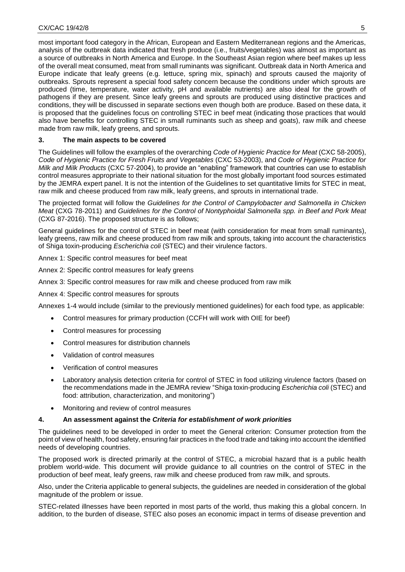most important food category in the African, European and Eastern Mediterranean regions and the Americas, analysis of the outbreak data indicated that fresh produce (i.e., fruits/vegetables) was almost as important as a source of outbreaks in North America and Europe. In the Southeast Asian region where beef makes up less of the overall meat consumed, meat from small ruminants was significant. Outbreak data in North America and Europe indicate that leafy greens (e.g. lettuce, spring mix, spinach) and sprouts caused the majority of outbreaks. Sprouts represent a special food safety concern because the conditions under which sprouts are produced (time, temperature, water activity, pH and available nutrients) are also ideal for the growth of pathogens if they are present. Since leafy greens and sprouts are produced using distinctive practices and conditions, they will be discussed in separate sections even though both are produce. Based on these data, it is proposed that the guidelines focus on controlling STEC in beef meat (indicating those practices that would also have benefits for controlling STEC in small ruminants such as sheep and goats), raw milk and cheese made from raw milk, leafy greens, and sprouts.

# **3. The main aspects to be covered**

The Guidelines will follow the examples of the overarching *Code of Hygienic Practice for Meat* (CXC 58-2005), *Code of Hygienic Practice for Fresh Fruits and Vegetables* (CXC 53-2003), and *Code of Hygienic Practice for Milk and Milk Products* (CXC 57-2004), to provide an "enabling" framework that countries can use to establish control measures appropriate to their national situation for the most globally important food sources estimated by the JEMRA expert panel. It is not the intention of the Guidelines to set quantitative limits for STEC in meat, raw milk and cheese produced from raw milk, leafy greens, and sprouts in international trade.

The projected format will follow the *Guidelines for the Control of Campylobacter and Salmonella in Chicken Meat* (CXG 78-2011) and *Guidelines for the Control of Nontyphoidal Salmonella spp. in Beef and Pork Meat* (CXG 87-2016). The proposed structure is as follows;

General guidelines for the control of STEC in beef meat (with consideration for meat from small ruminants), leafy greens, raw milk and cheese produced from raw milk and sprouts, taking into account the characteristics of Shiga toxin-producing *Escherichia coli* (STEC) and their virulence factors.

Annex 1: Specific control measures for beef meat

Annex 2: Specific control measures for leafy greens

Annex 3: Specific control measures for raw milk and cheese produced from raw milk

Annex 4: Specific control measures for sprouts

Annexes 1-4 would include (similar to the previously mentioned guidelines) for each food type, as applicable:

- Control measures for primary production (CCFH will work with OIE for beef)
- Control measures for processing
- Control measures for distribution channels
- Validation of control measures
- Verification of control measures
- Laboratory analysis detection criteria for control of STEC in food utilizing virulence factors (based on the recommendations made in the JEMRA review "Shiga toxin-producing *Escherichia coli* (STEC) and food: attribution, characterization, and monitoring")
- Monitoring and review of control measures

# **4. An assessment against the** *Criteria for establishment of work priorities*

The guidelines need to be developed in order to meet the General criterion: Consumer protection from the point of view of health, food safety, ensuring fair practices in the food trade and taking into account the identified needs of developing countries.

The proposed work is directed primarily at the control of STEC, a microbial hazard that is a public health problem world-wide. This document will provide guidance to all countries on the control of STEC in the production of beef meat, leafy greens, raw milk and cheese produced from raw milk, and sprouts.

Also, under the Criteria applicable to general subjects, the guidelines are needed in consideration of the global magnitude of the problem or issue.

STEC-related illnesses have been reported in most parts of the world, thus making this a global concern. In addition, to the burden of disease, STEC also poses an economic impact in terms of disease prevention and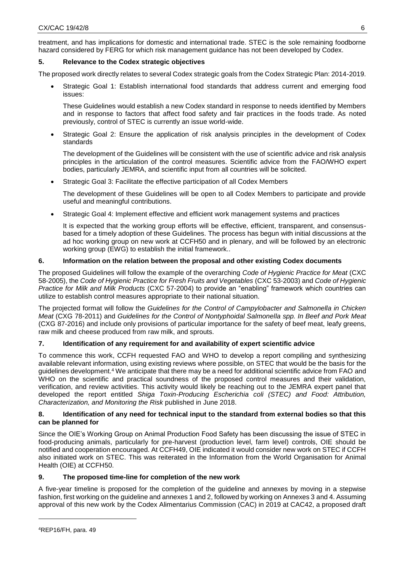treatment, and has implications for domestic and international trade. STEC is the sole remaining foodborne hazard considered by FERG for which risk management guidance has not been developed by Codex.

# **5. Relevance to the Codex strategic objectives**

The proposed work directly relates to several Codex strategic goals from the Codex Strategic Plan: 2014-2019.

 Strategic Goal 1: Establish international food standards that address current and emerging food issues:

These Guidelines would establish a new Codex standard in response to needs identified by Members and in response to factors that affect food safety and fair practices in the foods trade. As noted previously, control of STEC is currently an issue world-wide.

 Strategic Goal 2: Ensure the application of risk analysis principles in the development of Codex standards

The development of the Guidelines will be consistent with the use of scientific advice and risk analysis principles in the articulation of the control measures. Scientific advice from the FAO/WHO expert bodies, particularly JEMRA, and scientific input from all countries will be solicited.

Strategic Goal 3: Facilitate the effective participation of all Codex Members

The development of these Guidelines will be open to all Codex Members to participate and provide useful and meaningful contributions.

Strategic Goal 4: Implement effective and efficient work management systems and practices

It is expected that the working group efforts will be effective, efficient, transparent, and consensusbased for a timely adoption of these Guidelines. The process has begun with initial discussions at the ad hoc working group on new work at CCFH50 and in plenary, and will be followed by an electronic working group (EWG) to establish the initial framework..

# **6. Information on the relation between the proposal and other existing Codex documents**

The proposed Guidelines will follow the example of the overarching *Code of Hygienic Practice for Meat* (CXC 58-2005), the *Code of Hygienic Practice for Fresh Fruits and Vegetables* (CXC 53-2003) and *Code of Hygienic Practice for Milk and Milk Products* (CXC 57-2004) to provide an "enabling" framework which countries can utilize to establish control measures appropriate to their national situation.

The projected format will follow the *Guidelines for the Control of Campylobacter and Salmonella in Chicken Meat* (CXG 78-2011) and *Guidelines for the Control of Nontyphoidal Salmonella spp. In Beef and Pork Meat* (CXG 87-2016) and include only provisions of particular importance for the safety of beef meat, leafy greens, raw milk and cheese produced from raw milk, and sprouts.

# **7. Identification of any requirement for and availability of expert scientific advice**

To commence this work, CCFH requested FAO and WHO to develop a report compiling and synthesizing available relevant information, using existing reviews where possible, on STEC that would be the basis for the guidelines development.<sup>4</sup> We anticipate that there may be a need for additional scientific advice from FAO and WHO on the scientific and practical soundness of the proposed control measures and their validation, verification, and review activities. This activity would likely be reaching out to the JEMRA expert panel that developed the report entitled *Shiga Toxin-Producing Escherichia coli (STEC) and Food: Attribution, Characterization, and Monitoring the Risk* published in June 2018.

# **8. Identification of any need for technical input to the standard from external bodies so that this can be planned for**

Since the OIE's Working Group on Animal Production Food Safety has been discussing the issue of STEC in food-producing animals, particularly for pre-harvest (production level, farm level) controls, OIE should be notified and cooperation encouraged. At CCFH49, OIE indicated it would consider new work on STEC if CCFH also initiated work on STEC. This was reiterated in the Information from the World Organisation for Animal Health (OIE) at CCFH50.

## **9. The proposed time-line for completion of the new work**

A five-year timeline is proposed for the completion of the guideline and annexes by moving in a stepwise fashion, first working on the guideline and annexes 1 and 2, followed by working on Annexes 3 and 4. Assuming approval of this new work by the Codex Alimentarius Commission (CAC) in 2019 at CAC42, a proposed draft

-

<sup>4</sup>REP16/FH, para. 49